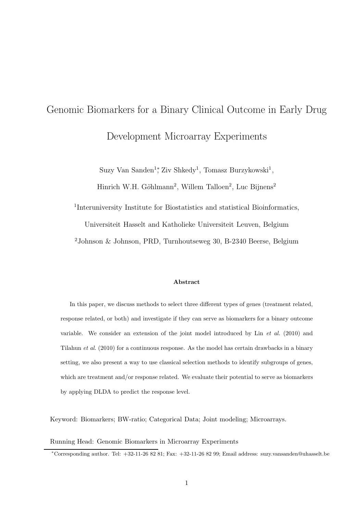# Genomic Biomarkers for a Binary Clinical Outcome in Early Drug Development Microarray Experiments

Suzy Van Sanden<sup>1</sup><sup>\*</sup>, Ziv Shkedy<sup>1</sup>, Tomasz Burzykowski<sup>1</sup>,

Hinrich W.H. Göhlmann<sup>2</sup>, Willem Talloen<sup>2</sup>, Luc Bijnens<sup>2</sup>

<sup>1</sup>Interuniversity Institute for Biostatistics and statistical Bioinformatics,

Universiteit Hasselt and Katholieke Universiteit Leuven, Belgium

<sup>2</sup>Johnson & Johnson, PRD, Turnhoutseweg 30, B-2340 Beerse, Belgium

#### Abstract

In this paper, we discuss methods to select three different types of genes (treatment related, response related, or both) and investigate if they can serve as biomarkers for a binary outcome variable. We consider an extension of the joint model introduced by  $\text{Lin}$  et al. (2010) and Tilahun et al. (2010) for a continuous response. As the model has certain drawbacks in a binary setting, we also present a way to use classical selection methods to identify subgroups of genes, which are treatment and/or response related. We evaluate their potential to serve as biomarkers by applying DLDA to predict the response level.

Keyword: Biomarkers; BW-ratio; Categorical Data; Joint modeling; Microarrays.

## Running Head: Genomic Biomarkers in Microarray Experiments

<sup>∗</sup>Corresponding author. Tel: +32-11-26 82 81; Fax: +32-11-26 82 99; Email address: suzy.vansanden@uhasselt.be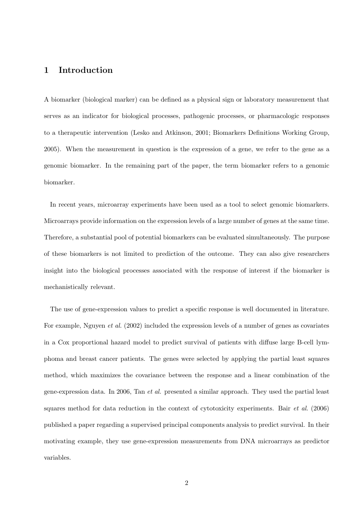# 1 Introduction

A biomarker (biological marker) can be defined as a physical sign or laboratory measurement that serves as an indicator for biological processes, pathogenic processes, or pharmacologic responses to a therapeutic intervention (Lesko and Atkinson, 2001; Biomarkers Definitions Working Group, 2005). When the measurement in question is the expression of a gene, we refer to the gene as a genomic biomarker. In the remaining part of the paper, the term biomarker refers to a genomic biomarker.

In recent years, microarray experiments have been used as a tool to select genomic biomarkers. Microarrays provide information on the expression levels of a large number of genes at the same time. Therefore, a substantial pool of potential biomarkers can be evaluated simultaneously. The purpose of these biomarkers is not limited to prediction of the outcome. They can also give researchers insight into the biological processes associated with the response of interest if the biomarker is mechanistically relevant.

The use of gene-expression values to predict a specific response is well documented in literature. For example, Nguyen et al. (2002) included the expression levels of a number of genes as covariates in a Cox proportional hazard model to predict survival of patients with diffuse large B-cell lymphoma and breast cancer patients. The genes were selected by applying the partial least squares method, which maximizes the covariance between the response and a linear combination of the gene-expression data. In 2006, Tan et al. presented a similar approach. They used the partial least squares method for data reduction in the context of cytotoxicity experiments. Bair et al. (2006) published a paper regarding a supervised principal components analysis to predict survival. In their motivating example, they use gene-expression measurements from DNA microarrays as predictor variables.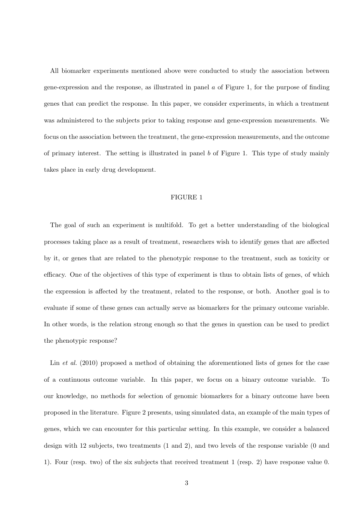All biomarker experiments mentioned above were conducted to study the association between gene-expression and the response, as illustrated in panel  $a$  of Figure 1, for the purpose of finding genes that can predict the response. In this paper, we consider experiments, in which a treatment was administered to the subjects prior to taking response and gene-expression measurements. We focus on the association between the treatment, the gene-expression measurements, and the outcome of primary interest. The setting is illustrated in panel b of Figure 1. This type of study mainly takes place in early drug development.

## FIGURE 1

The goal of such an experiment is multifold. To get a better understanding of the biological processes taking place as a result of treatment, researchers wish to identify genes that are affected by it, or genes that are related to the phenotypic response to the treatment, such as toxicity or efficacy. One of the objectives of this type of experiment is thus to obtain lists of genes, of which the expression is affected by the treatment, related to the response, or both. Another goal is to evaluate if some of these genes can actually serve as biomarkers for the primary outcome variable. In other words, is the relation strong enough so that the genes in question can be used to predict the phenotypic response?

Lin *et al.* (2010) proposed a method of obtaining the aforementioned lists of genes for the case of a continuous outcome variable. In this paper, we focus on a binary outcome variable. To our knowledge, no methods for selection of genomic biomarkers for a binary outcome have been proposed in the literature. Figure 2 presents, using simulated data, an example of the main types of genes, which we can encounter for this particular setting. In this example, we consider a balanced design with 12 subjects, two treatments (1 and 2), and two levels of the response variable (0 and 1). Four (resp. two) of the six subjects that received treatment 1 (resp. 2) have response value 0.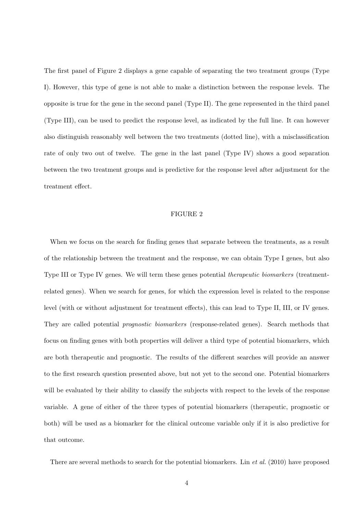The first panel of Figure 2 displays a gene capable of separating the two treatment groups (Type I). However, this type of gene is not able to make a distinction between the response levels. The opposite is true for the gene in the second panel (Type II). The gene represented in the third panel (Type III), can be used to predict the response level, as indicated by the full line. It can however also distinguish reasonably well between the two treatments (dotted line), with a misclassification rate of only two out of twelve. The gene in the last panel (Type IV) shows a good separation between the two treatment groups and is predictive for the response level after adjustment for the treatment effect.

#### FIGURE 2

When we focus on the search for finding genes that separate between the treatments, as a result of the relationship between the treatment and the response, we can obtain Type I genes, but also Type III or Type IV genes. We will term these genes potential therapeutic biomarkers (treatmentrelated genes). When we search for genes, for which the expression level is related to the response level (with or without adjustment for treatment effects), this can lead to Type II, III, or IV genes. They are called potential prognostic biomarkers (response-related genes). Search methods that focus on finding genes with both properties will deliver a third type of potential biomarkers, which are both therapeutic and prognostic. The results of the different searches will provide an answer to the first research question presented above, but not yet to the second one. Potential biomarkers will be evaluated by their ability to classify the subjects with respect to the levels of the response variable. A gene of either of the three types of potential biomarkers (therapeutic, prognostic or both) will be used as a biomarker for the clinical outcome variable only if it is also predictive for that outcome.

There are several methods to search for the potential biomarkers. Lin et al. (2010) have proposed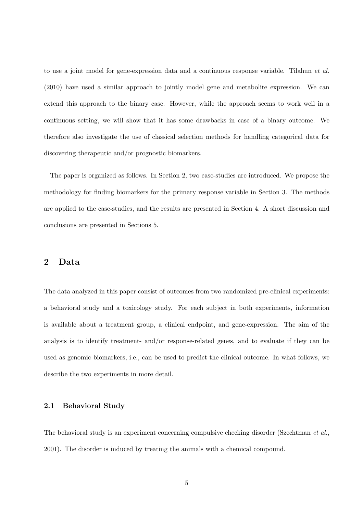to use a joint model for gene-expression data and a continuous response variable. Tilahun et al. (2010) have used a similar approach to jointly model gene and metabolite expression. We can extend this approach to the binary case. However, while the approach seems to work well in a continuous setting, we will show that it has some drawbacks in case of a binary outcome. We therefore also investigate the use of classical selection methods for handling categorical data for discovering therapeutic and/or prognostic biomarkers.

The paper is organized as follows. In Section 2, two case-studies are introduced. We propose the methodology for finding biomarkers for the primary response variable in Section 3. The methods are applied to the case-studies, and the results are presented in Section 4. A short discussion and conclusions are presented in Sections 5.

# 2 Data

The data analyzed in this paper consist of outcomes from two randomized pre-clinical experiments: a behavioral study and a toxicology study. For each subject in both experiments, information is available about a treatment group, a clinical endpoint, and gene-expression. The aim of the analysis is to identify treatment- and/or response-related genes, and to evaluate if they can be used as genomic biomarkers, i.e., can be used to predict the clinical outcome. In what follows, we describe the two experiments in more detail.

## 2.1 Behavioral Study

The behavioral study is an experiment concerning compulsive checking disorder (Szechtman et al., 2001). The disorder is induced by treating the animals with a chemical compound.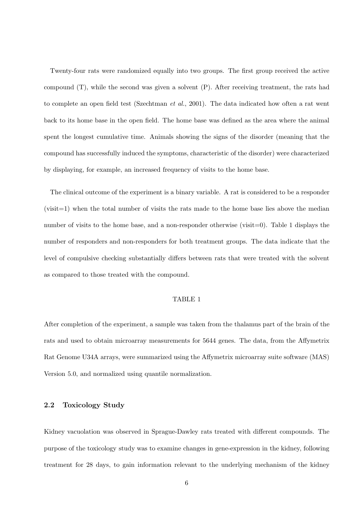Twenty-four rats were randomized equally into two groups. The first group received the active compound (T), while the second was given a solvent (P). After receiving treatment, the rats had to complete an open field test (Szechtman et al., 2001). The data indicated how often a rat went back to its home base in the open field. The home base was defined as the area where the animal spent the longest cumulative time. Animals showing the signs of the disorder (meaning that the compound has successfully induced the symptoms, characteristic of the disorder) were characterized by displaying, for example, an increased frequency of visits to the home base.

The clinical outcome of the experiment is a binary variable. A rat is considered to be a responder (visit=1) when the total number of visits the rats made to the home base lies above the median number of visits to the home base, and a non-responder otherwise (visit=0). Table 1 displays the number of responders and non-responders for both treatment groups. The data indicate that the level of compulsive checking substantially differs between rats that were treated with the solvent as compared to those treated with the compound.

#### TABLE 1

After completion of the experiment, a sample was taken from the thalamus part of the brain of the rats and used to obtain microarray measurements for 5644 genes. The data, from the Affymetrix Rat Genome U34A arrays, were summarized using the Affymetrix microarray suite software (MAS) Version 5.0, and normalized using quantile normalization.

## 2.2 Toxicology Study

Kidney vacuolation was observed in Sprague-Dawley rats treated with different compounds. The purpose of the toxicology study was to examine changes in gene-expression in the kidney, following treatment for 28 days, to gain information relevant to the underlying mechanism of the kidney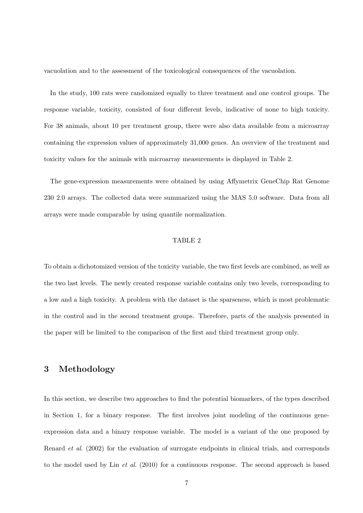vacuolation and to the assessment of the toxicological consequences of the vacuolation.

In the study, 100 rats were randomized equally to three treatment and one control groups. The response variable, toxicity, consisted of four different levels, indicative of none to high toxicity. For 38 animals, about 10 per treatment group, there were also data available from a microarray containing the expression values of approximately 31,000 genes. An overview of the treatment and toxicity values for the animals with microarray measurements is displayed in Table 2.

The gene-expression measurements were obtained by using Affymetrix GeneChip Rat Genome 230 2.0 arrays. The collected data were summarized using the MAS 5.0 software. Data from all arrays were made comparable by using quantile normalization.

#### TABLE 2

To obtain a dichotomized version of the toxicity variable, the two first levels are combined, as well as the two last levels. The newly created response variable contains only two levels, corresponding to a low and a high toxicity. A problem with the dataset is the sparseness, which is most problematic in the control and in the second treatment groups. Therefore, parts of the analysis presented in the paper will be limited to the comparison of the first and third treatment group only.

# 3 Methodology

In this section, we describe two approaches to find the potential biomarkers, of the types described in Section 1, for a binary response. The first involves joint modeling of the continuous geneexpression data and a binary response variable. The model is a variant of the one proposed by Renard et al. (2002) for the evaluation of surrogate endpoints in clinical trials, and corresponds to the model used by Lin et al. (2010) for a continuous response. The second approach is based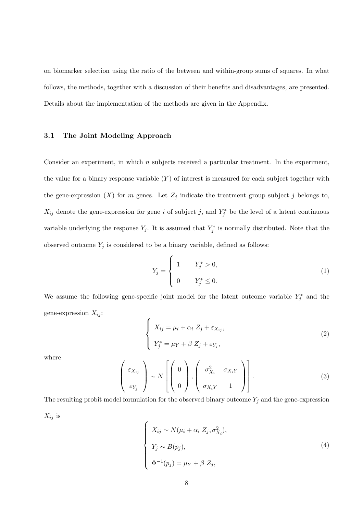on biomarker selection using the ratio of the between and within-group sums of squares. In what follows, the methods, together with a discussion of their benefits and disadvantages, are presented. Details about the implementation of the methods are given in the Appendix.

## 3.1 The Joint Modeling Approach

Consider an experiment, in which  $n$  subjects received a particular treatment. In the experiment, the value for a binary response variable  $(Y)$  of interest is measured for each subject together with the gene-expression  $(X)$  for m genes. Let  $Z_j$  indicate the treatment group subject j belongs to,  $X_{ij}$  denote the gene-expression for gene i of subject j, and  $Y_j^*$  be the level of a latent continuous variable underlying the response  $Y_j$ . It is assumed that  $Y_j^*$  $\tilde{j}$  is normally distributed. Note that the observed outcome  $Y_j$  is considered to be a binary variable, defined as follows:

$$
Y_j = \begin{cases} 1 & Y_j^* > 0, \\ 0 & Y_j^* \le 0. \end{cases}
$$
 (1)

We assume the following gene-specific joint model for the latent outcome variable  $Y_i^*$  $j^*$  and the gene-expression  $X_{ij}$ :

$$
\begin{cases}\nX_{ij} = \mu_i + \alpha_i Z_j + \varepsilon_{X_{ij}}, \\
Y_j^* = \mu_Y + \beta Z_j + \varepsilon_{Y_j},\n\end{cases}
$$
\n(2)

where

$$
\begin{pmatrix} \varepsilon_{X_{ij}} \\ \varepsilon_{Y_j} \end{pmatrix} \sim N \left[ \begin{pmatrix} 0 \\ 0 \end{pmatrix}, \begin{pmatrix} \sigma_{X_i}^2 & \sigma_{X_i Y} \\ \sigma_{X_i Y} & 1 \end{pmatrix} \right].
$$
 (3)

The resulting probit model formulation for the observed binary outcome  $Y_j$  and the gene-expression  $X_{ij}$  is

$$
\begin{cases}\nX_{ij} \sim N(\mu_i + \alpha_i Z_j, \sigma_{X_i}^2), \\
Y_j \sim B(p_j), \\
\Phi^{-1}(p_j) = \mu_Y + \beta Z_j,\n\end{cases}
$$
\n(4)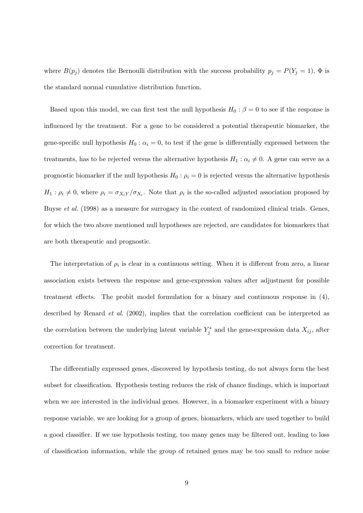where  $B(p_j)$  denotes the Bernoulli distribution with the success probability  $p_j = P(Y_j = 1)$ ,  $\Phi$  is the standard normal cumulative distribution function.

Based upon this model, we can first test the null hypothesis  $H_0$  :  $\beta = 0$  to see if the response is influenced by the treatment. For a gene to be considered a potential therapeutic biomarker, the gene-specific null hypothesis  $H_0$ :  $\alpha_i = 0$ , to test if the gene is differentially expressed between the treatments, has to be rejected versus the alternative hypothesis  $H_1 : \alpha_i \neq 0$ . A gene can serve as a prognostic biomarker if the null hypothesis  $H_0$ :  $\rho_i = 0$  is rejected versus the alternative hypothesis  $H_1: \rho_i \neq 0$ , where  $\rho_i = \sigma_{X_iY}/\sigma_{X_i}$ . Note that  $\rho_i$  is the so-called adjusted association proposed by Buyse *et al.* (1998) as a measure for surrogacy in the context of randomized clinical trials. Genes, for which the two above mentioned null hypotheses are rejected, are candidates for biomarkers that are both therapeutic and prognostic.

The interpretation of  $\rho_i$  is clear in a continuous setting. When it is different from zero, a linear association exists between the response and gene-expression values after adjustment for possible treatment effects. The probit model formulation for a binary and continuous response in (4), described by Renard et al. (2002), implies that the correlation coefficient can be interpreted as the correlation between the underlying latent variable  $Y_i^*$  $\zeta_j^*$  and the gene-expression data  $X_{ij}$ , after correction for treatment.

The differentially expressed genes, discovered by hypothesis testing, do not always form the best subset for classification. Hypothesis testing reduces the risk of chance findings, which is important when we are interested in the individual genes. However, in a biomarker experiment with a binary response variable, we are looking for a group of genes, biomarkers, which are used together to build a good classifier. If we use hypothesis testing, too many genes may be filtered out, leading to loss of classification information, while the group of retained genes may be too small to reduce noise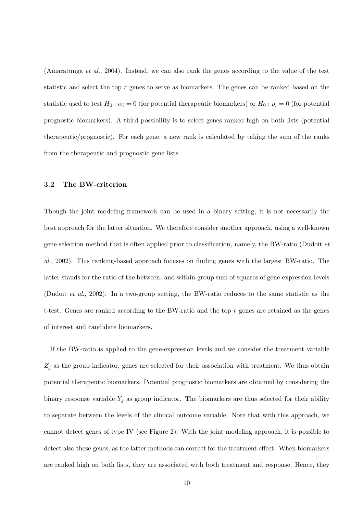(Amaratunga et al., 2004). Instead, we can also rank the genes according to the value of the test statistic and select the top r genes to serve as biomarkers. The genes can be ranked based on the statistic used to test  $H_0: \alpha_i = 0$  (for potential therapeutic biomarkers) or  $H_0: \rho_i = 0$  (for potential prognostic biomarkers). A third possibility is to select genes ranked high on both lists (potential therapeutic/prognostic). For each gene, a new rank is calculated by taking the sum of the ranks from the therapeutic and prognostic gene lists.

## 3.2 The BW-criterion

Though the joint modeling framework can be used in a binary setting, it is not necessarily the best approach for the latter situation. We therefore consider another approach, using a well-known gene selection method that is often applied prior to classification, namely, the BW-ratio (Dudoit et al., 2002). This ranking-based approach focuses on finding genes with the largest BW-ratio. The latter stands for the ratio of the between- and within-group sum of squares of gene-expression levels (Dudoit et al., 2002). In a two-group setting, the BW-ratio reduces to the same statistic as the t-test. Genes are ranked according to the BW-ratio and the top  $r$  genes are retained as the genes of interest and candidate biomarkers.

If the BW-ratio is applied to the gene-expression levels and we consider the treatment variable  $Z_j$  as the group indicator, genes are selected for their association with treatment. We thus obtain potential therapeutic biomarkers. Potential prognostic biomarkers are obtained by considering the binary response variable  $Y_j$  as group indicator. The biomarkers are thus selected for their ability to separate between the levels of the clinical outcome variable. Note that with this approach, we cannot detect genes of type IV (see Figure 2). With the joint modeling approach, it is possible to detect also these genes, as the latter methods can correct for the treatment effect. When biomarkers are ranked high on both lists, they are associated with both treatment and response. Hence, they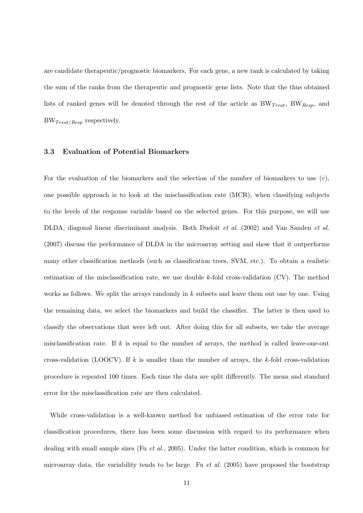are candidate therapeutic/prognostic biomarkers. For each gene, a new rank is calculated by taking the sum of the ranks from the therapeutic and prognostic gene lists. Note that the thus obtained lists of ranked genes will be denoted through the rest of the article as  $BW_{Treat}$ ,  $BW_{Resp}$ , and  $BW_{Treat/Resp}$  respectively.

#### 3.3 Evaluation of Potential Biomarkers

For the evaluation of the biomarkers and the selection of the number of biomarkers to use  $(r)$ , one possible approach is to look at the misclassification rate (MCR), when classifying subjects to the levels of the response variable based on the selected genes. For this purpose, we will use DLDA, diagonal linear discriminant analysis. Both Dudoit et al. (2002) and Van Sanden et al. (2007) discuss the performance of DLDA in the microarray setting and show that it outperforms many other classification methods (such as classification trees, SVM, etc.). To obtain a realistic estimation of the misclassification rate, we use double k-fold cross-validation (CV). The method works as follows. We split the arrays randomly in  $k$  subsets and leave them out one by one. Using the remaining data, we select the biomarkers and build the classifier. The latter is then used to classify the observations that were left out. After doing this for all subsets, we take the average misclassification rate. If  $k$  is equal to the number of arrays, the method is called leave-one-out cross-validation (LOOCV). If  $k$  is smaller than the number of arrays, the  $k$ -fold cross-validation procedure is repeated 100 times. Each time the data are split differently. The mean and standard error for the misclassification rate are then calculated.

While cross-validation is a well-known method for unbiased estimation of the error rate for classification procedures, there has been some discussion with regard to its performance when dealing with small sample sizes (Fu et al., 2005). Under the latter condition, which is common for microarray data, the variability tends to be large. Fu *et al.* (2005) have proposed the bootstrap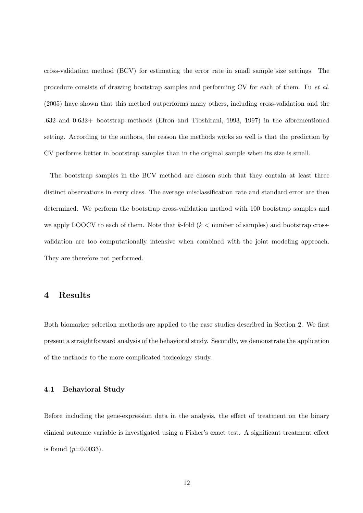cross-validation method (BCV) for estimating the error rate in small sample size settings. The procedure consists of drawing bootstrap samples and performing CV for each of them. Fu et al. (2005) have shown that this method outperforms many others, including cross-validation and the .632 and 0.632+ bootstrap methods (Efron and Tibshirani, 1993, 1997) in the aforementioned setting. According to the authors, the reason the methods works so well is that the prediction by CV performs better in bootstrap samples than in the original sample when its size is small.

The bootstrap samples in the BCV method are chosen such that they contain at least three distinct observations in every class. The average misclassification rate and standard error are then determined. We perform the bootstrap cross-validation method with 100 bootstrap samples and we apply LOOCV to each of them. Note that k-fold  $(k <$  number of samples) and bootstrap crossvalidation are too computationally intensive when combined with the joint modeling approach. They are therefore not performed.

# 4 Results

Both biomarker selection methods are applied to the case studies described in Section 2. We first present a straightforward analysis of the behavioral study. Secondly, we demonstrate the application of the methods to the more complicated toxicology study.

## 4.1 Behavioral Study

Before including the gene-expression data in the analysis, the effect of treatment on the binary clinical outcome variable is investigated using a Fisher's exact test. A significant treatment effect is found  $(p=0.0033)$ .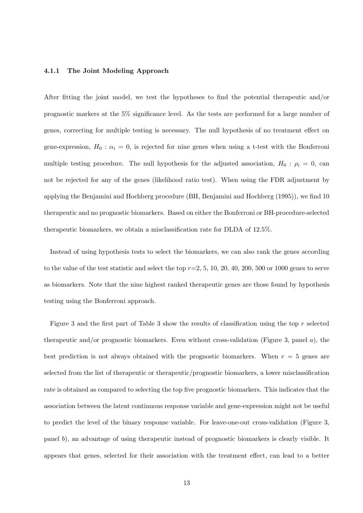## 4.1.1 The Joint Modeling Approach

After fitting the joint model, we test the hypotheses to find the potential therapeutic and/or prognostic markers at the 5% significance level. As the tests are performed for a large number of genes, correcting for multiple testing is necessary. The null hypothesis of no treatment effect on gene-expression,  $H_0: \alpha_i = 0$ , is rejected for nine genes when using a t-test with the Bonferroni multiple testing procedure. The null hypothesis for the adjusted association,  $H_0: \rho_i = 0$ , can not be rejected for any of the genes (likelihood ratio test). When using the FDR adjustment by applying the Benjamini and Hochberg procedure (BH, Benjamini and Hochberg (1995)), we find 10 therapeutic and no prognostic biomarkers. Based on either the Bonferroni or BH-procedure-selected therapeutic biomarkers, we obtain a misclassification rate for DLDA of 12.5%.

Instead of using hypothesis tests to select the biomarkers, we can also rank the genes according to the value of the test statistic and select the top  $r=2, 5, 10, 20, 40, 200, 500$  or 1000 genes to serve as biomarkers. Note that the nine highest ranked therapeutic genes are those found by hypothesis testing using the Bonferroni approach.

Figure 3 and the first part of Table 3 show the results of classification using the top r selected therapeutic and/or prognostic biomarkers. Even without cross-validation (Figure 3, panel  $a$ ), the best prediction is not always obtained with the prognostic biomarkers. When  $r = 5$  genes are selected from the list of therapeutic or therapeutic/prognostic biomarkers, a lower misclassification rate is obtained as compared to selecting the top five prognostic biomarkers. This indicates that the association between the latent continuous response variable and gene-expression might not be useful to predict the level of the binary response variable. For leave-one-out cross-validation (Figure 3, panel b), an advantage of using therapeutic instead of prognostic biomarkers is clearly visible. It appears that genes, selected for their association with the treatment effect, can lead to a better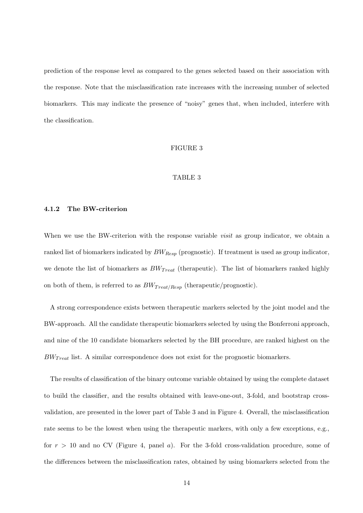prediction of the response level as compared to the genes selected based on their association with the response. Note that the misclassification rate increases with the increasing number of selected biomarkers. This may indicate the presence of "noisy" genes that, when included, interfere with the classification.

#### FIGURE 3

## TABLE 3

#### 4.1.2 The BW-criterion

When we use the BW-criterion with the response variable *visit* as group indicator, we obtain a ranked list of biomarkers indicated by  $BW_{Resp}$  (prognostic). If treatment is used as group indicator, we denote the list of biomarkers as  $BW_{Treat}$  (therapeutic). The list of biomarkers ranked highly on both of them, is referred to as  $BW_{Treat/Resp}$  (therapeutic/prognostic).

A strong correspondence exists between therapeutic markers selected by the joint model and the BW-approach. All the candidate therapeutic biomarkers selected by using the Bonferroni approach, and nine of the 10 candidate biomarkers selected by the BH procedure, are ranked highest on the  $BW_{Treat}$  list. A similar correspondence does not exist for the prognostic biomarkers.

The results of classification of the binary outcome variable obtained by using the complete dataset to build the classifier, and the results obtained with leave-one-out, 3-fold, and bootstrap crossvalidation, are presented in the lower part of Table 3 and in Figure 4. Overall, the misclassification rate seems to be the lowest when using the therapeutic markers, with only a few exceptions, e.g., for  $r > 10$  and no CV (Figure 4, panel a). For the 3-fold cross-validation procedure, some of the differences between the misclassification rates, obtained by using biomarkers selected from the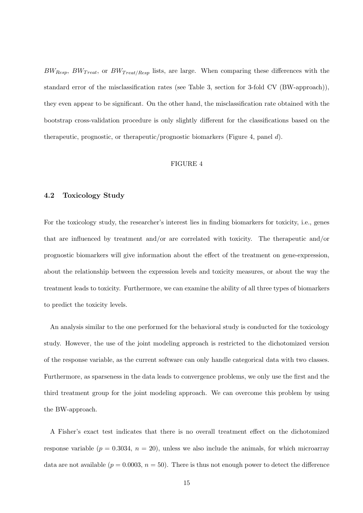$BW_{Resp}$ ,  $BW_{Treat}$ , or  $BW_{Treat/Resp}$  lists, are large. When comparing these differences with the standard error of the misclassification rates (see Table 3, section for 3-fold CV (BW-approach)), they even appear to be significant. On the other hand, the misclassification rate obtained with the bootstrap cross-validation procedure is only slightly different for the classifications based on the therapeutic, prognostic, or therapeutic/prognostic biomarkers (Figure 4, panel d).

#### FIGURE 4

#### 4.2 Toxicology Study

For the toxicology study, the researcher's interest lies in finding biomarkers for toxicity, i.e., genes that are influenced by treatment and/or are correlated with toxicity. The therapeutic and/or prognostic biomarkers will give information about the effect of the treatment on gene-expression, about the relationship between the expression levels and toxicity measures, or about the way the treatment leads to toxicity. Furthermore, we can examine the ability of all three types of biomarkers to predict the toxicity levels.

An analysis similar to the one performed for the behavioral study is conducted for the toxicology study. However, the use of the joint modeling approach is restricted to the dichotomized version of the response variable, as the current software can only handle categorical data with two classes. Furthermore, as sparseness in the data leads to convergence problems, we only use the first and the third treatment group for the joint modeling approach. We can overcome this problem by using the BW-approach.

A Fisher's exact test indicates that there is no overall treatment effect on the dichotomized response variable  $(p = 0.3034, n = 20)$ , unless we also include the animals, for which microarray data are not available  $(p = 0.0003, n = 50)$ . There is thus not enough power to detect the difference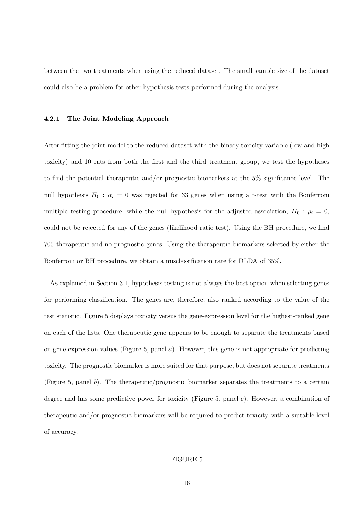between the two treatments when using the reduced dataset. The small sample size of the dataset could also be a problem for other hypothesis tests performed during the analysis.

#### 4.2.1 The Joint Modeling Approach

After fitting the joint model to the reduced dataset with the binary toxicity variable (low and high toxicity) and 10 rats from both the first and the third treatment group, we test the hypotheses to find the potential therapeutic and/or prognostic biomarkers at the 5% significance level. The null hypothesis  $H_0$ :  $\alpha_i = 0$  was rejected for 33 genes when using a t-test with the Bonferroni multiple testing procedure, while the null hypothesis for the adjusted association,  $H_0$ :  $\rho_i = 0$ , could not be rejected for any of the genes (likelihood ratio test). Using the BH procedure, we find 705 therapeutic and no prognostic genes. Using the therapeutic biomarkers selected by either the Bonferroni or BH procedure, we obtain a misclassification rate for DLDA of 35%.

As explained in Section 3.1, hypothesis testing is not always the best option when selecting genes for performing classification. The genes are, therefore, also ranked according to the value of the test statistic. Figure 5 displays toxicity versus the gene-expression level for the highest-ranked gene on each of the lists. One therapeutic gene appears to be enough to separate the treatments based on gene-expression values (Figure 5, panel  $a$ ). However, this gene is not appropriate for predicting toxicity. The prognostic biomarker is more suited for that purpose, but does not separate treatments (Figure 5, panel b). The therapeutic/prognostic biomarker separates the treatments to a certain degree and has some predictive power for toxicity (Figure 5, panel c). However, a combination of therapeutic and/or prognostic biomarkers will be required to predict toxicity with a suitable level of accuracy.

## FIGURE 5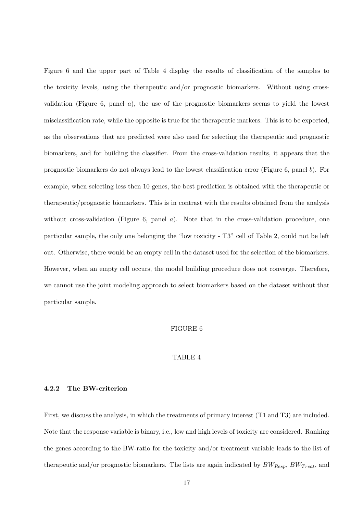Figure 6 and the upper part of Table 4 display the results of classification of the samples to the toxicity levels, using the therapeutic and/or prognostic biomarkers. Without using crossvalidation (Figure 6, panel  $a$ ), the use of the prognostic biomarkers seems to yield the lowest misclassification rate, while the opposite is true for the therapeutic markers. This is to be expected, as the observations that are predicted were also used for selecting the therapeutic and prognostic biomarkers, and for building the classifier. From the cross-validation results, it appears that the prognostic biomarkers do not always lead to the lowest classification error (Figure 6, panel b). For example, when selecting less then 10 genes, the best prediction is obtained with the therapeutic or therapeutic/prognostic biomarkers. This is in contrast with the results obtained from the analysis without cross-validation (Figure 6, panel  $a$ ). Note that in the cross-validation procedure, one particular sample, the only one belonging the "low toxicity - T3" cell of Table 2, could not be left out. Otherwise, there would be an empty cell in the dataset used for the selection of the biomarkers. However, when an empty cell occurs, the model building procedure does not converge. Therefore, we cannot use the joint modeling approach to select biomarkers based on the dataset without that particular sample.

#### FIGURE 6

#### TABLE 4

### 4.2.2 The BW-criterion

First, we discuss the analysis, in which the treatments of primary interest (T1 and T3) are included. Note that the response variable is binary, i.e., low and high levels of toxicity are considered. Ranking the genes according to the BW-ratio for the toxicity and/or treatment variable leads to the list of therapeutic and/or prognostic biomarkers. The lists are again indicated by  $BW_{Resp}$ ,  $BW_{Treat}$ , and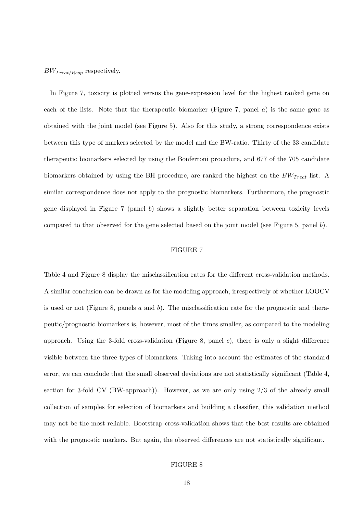$BW_{Treat/Resp}$  respectively.

In Figure 7, toxicity is plotted versus the gene-expression level for the highest ranked gene on each of the lists. Note that the therapeutic biomarker (Figure 7, panel  $a$ ) is the same gene as obtained with the joint model (see Figure 5). Also for this study, a strong correspondence exists between this type of markers selected by the model and the BW-ratio. Thirty of the 33 candidate therapeutic biomarkers selected by using the Bonferroni procedure, and 677 of the 705 candidate biomarkers obtained by using the BH procedure, are ranked the highest on the  $BW_{Treat}$  list. A similar correspondence does not apply to the prognostic biomarkers. Furthermore, the prognostic gene displayed in Figure 7 (panel b) shows a slightly better separation between toxicity levels compared to that observed for the gene selected based on the joint model (see Figure 5, panel b).

## FIGURE 7

Table 4 and Figure 8 display the misclassification rates for the different cross-validation methods. A similar conclusion can be drawn as for the modeling approach, irrespectively of whether LOOCV is used or not (Figure 8, panels a and b). The misclassification rate for the prognostic and therapeutic/prognostic biomarkers is, however, most of the times smaller, as compared to the modeling approach. Using the 3-fold cross-validation (Figure 8, panel  $c$ ), there is only a slight difference visible between the three types of biomarkers. Taking into account the estimates of the standard error, we can conclude that the small observed deviations are not statistically significant (Table 4, section for 3-fold CV (BW-approach)). However, as we are only using 2/3 of the already small collection of samples for selection of biomarkers and building a classifier, this validation method may not be the most reliable. Bootstrap cross-validation shows that the best results are obtained with the prognostic markers. But again, the observed differences are not statistically significant.

## FIGURE 8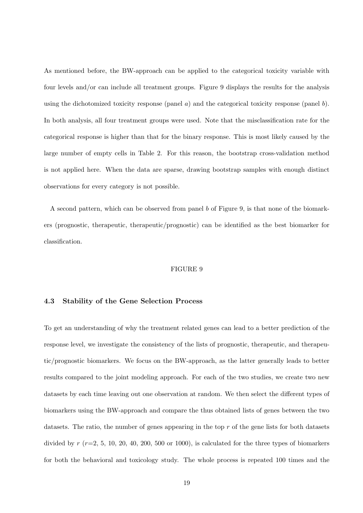As mentioned before, the BW-approach can be applied to the categorical toxicity variable with four levels and/or can include all treatment groups. Figure 9 displays the results for the analysis using the dichotomized toxicity response (panel a) and the categorical toxicity response (panel b). In both analysis, all four treatment groups were used. Note that the misclassification rate for the categorical response is higher than that for the binary response. This is most likely caused by the large number of empty cells in Table 2. For this reason, the bootstrap cross-validation method is not applied here. When the data are sparse, drawing bootstrap samples with enough distinct observations for every category is not possible.

A second pattern, which can be observed from panel b of Figure 9, is that none of the biomarkers (prognostic, therapeutic, therapeutic/prognostic) can be identified as the best biomarker for classification.

#### FIGURE 9

## 4.3 Stability of the Gene Selection Process

To get an understanding of why the treatment related genes can lead to a better prediction of the response level, we investigate the consistency of the lists of prognostic, therapeutic, and therapeutic/prognostic biomarkers. We focus on the BW-approach, as the latter generally leads to better results compared to the joint modeling approach. For each of the two studies, we create two new datasets by each time leaving out one observation at random. We then select the different types of biomarkers using the BW-approach and compare the thus obtained lists of genes between the two datasets. The ratio, the number of genes appearing in the top  $r$  of the gene lists for both datasets divided by  $r (r=2, 5, 10, 20, 40, 200, 500 \text{ or } 1000)$ , is calculated for the three types of biomarkers for both the behavioral and toxicology study. The whole process is repeated 100 times and the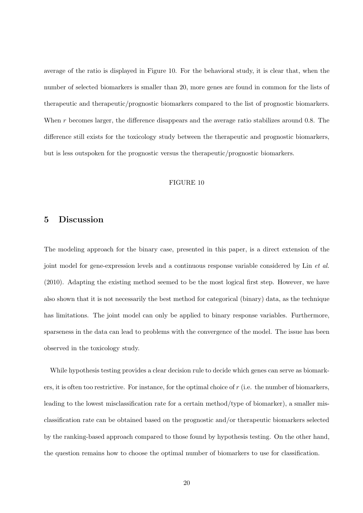average of the ratio is displayed in Figure 10. For the behavioral study, it is clear that, when the number of selected biomarkers is smaller than 20, more genes are found in common for the lists of therapeutic and therapeutic/prognostic biomarkers compared to the list of prognostic biomarkers. When r becomes larger, the difference disappears and the average ratio stabilizes around 0.8. The difference still exists for the toxicology study between the therapeutic and prognostic biomarkers, but is less outspoken for the prognostic versus the therapeutic/prognostic biomarkers.

#### FIGURE 10

# 5 Discussion

The modeling approach for the binary case, presented in this paper, is a direct extension of the joint model for gene-expression levels and a continuous response variable considered by Lin et al. (2010). Adapting the existing method seemed to be the most logical first step. However, we have also shown that it is not necessarily the best method for categorical (binary) data, as the technique has limitations. The joint model can only be applied to binary response variables. Furthermore, sparseness in the data can lead to problems with the convergence of the model. The issue has been observed in the toxicology study.

While hypothesis testing provides a clear decision rule to decide which genes can serve as biomarkers, it is often too restrictive. For instance, for the optimal choice of  $r$  (i.e. the number of biomarkers, leading to the lowest misclassification rate for a certain method/type of biomarker), a smaller misclassification rate can be obtained based on the prognostic and/or therapeutic biomarkers selected by the ranking-based approach compared to those found by hypothesis testing. On the other hand, the question remains how to choose the optimal number of biomarkers to use for classification.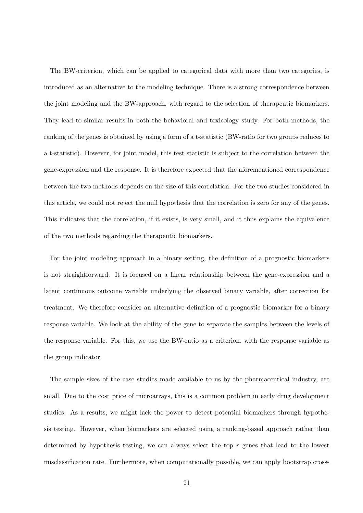The BW-criterion, which can be applied to categorical data with more than two categories, is introduced as an alternative to the modeling technique. There is a strong correspondence between the joint modeling and the BW-approach, with regard to the selection of therapeutic biomarkers. They lead to similar results in both the behavioral and toxicology study. For both methods, the ranking of the genes is obtained by using a form of a t-statistic (BW-ratio for two groups reduces to a t-statistic). However, for joint model, this test statistic is subject to the correlation between the gene-expression and the response. It is therefore expected that the aforementioned correspondence between the two methods depends on the size of this correlation. For the two studies considered in this article, we could not reject the null hypothesis that the correlation is zero for any of the genes. This indicates that the correlation, if it exists, is very small, and it thus explains the equivalence of the two methods regarding the therapeutic biomarkers.

For the joint modeling approach in a binary setting, the definition of a prognostic biomarkers is not straightforward. It is focused on a linear relationship between the gene-expression and a latent continuous outcome variable underlying the observed binary variable, after correction for treatment. We therefore consider an alternative definition of a prognostic biomarker for a binary response variable. We look at the ability of the gene to separate the samples between the levels of the response variable. For this, we use the BW-ratio as a criterion, with the response variable as the group indicator.

The sample sizes of the case studies made available to us by the pharmaceutical industry, are small. Due to the cost price of microarrays, this is a common problem in early drug development studies. As a results, we might lack the power to detect potential biomarkers through hypothesis testing. However, when biomarkers are selected using a ranking-based approach rather than determined by hypothesis testing, we can always select the top  $r$  genes that lead to the lowest misclassification rate. Furthermore, when computationally possible, we can apply bootstrap cross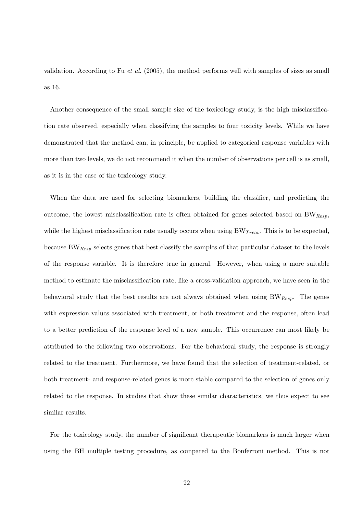validation. According to Fu et al. (2005), the method performs well with samples of sizes as small as 16.

Another consequence of the small sample size of the toxicology study, is the high misclassification rate observed, especially when classifying the samples to four toxicity levels. While we have demonstrated that the method can, in principle, be applied to categorical response variables with more than two levels, we do not recommend it when the number of observations per cell is as small, as it is in the case of the toxicology study.

When the data are used for selecting biomarkers, building the classifier, and predicting the outcome, the lowest misclassification rate is often obtained for genes selected based on  $BW_{Resp}$ , while the highest misclassification rate usually occurs when using  $BW_{Treat}$ . This is to be expected, because  $BW_{Resp}$  selects genes that best classify the samples of that particular dataset to the levels of the response variable. It is therefore true in general. However, when using a more suitable method to estimate the misclassification rate, like a cross-validation approach, we have seen in the behavioral study that the best results are not always obtained when using  $BW_{Resp}$ . The genes with expression values associated with treatment, or both treatment and the response, often lead to a better prediction of the response level of a new sample. This occurrence can most likely be attributed to the following two observations. For the behavioral study, the response is strongly related to the treatment. Furthermore, we have found that the selection of treatment-related, or both treatment- and response-related genes is more stable compared to the selection of genes only related to the response. In studies that show these similar characteristics, we thus expect to see similar results.

For the toxicology study, the number of significant therapeutic biomarkers is much larger when using the BH multiple testing procedure, as compared to the Bonferroni method. This is not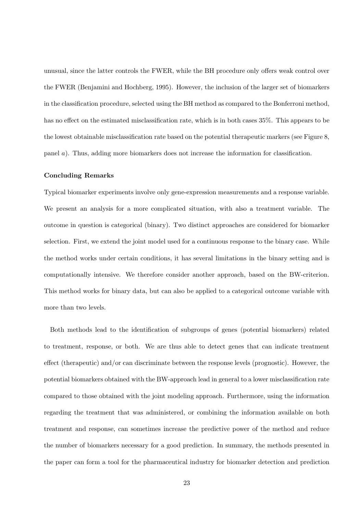unusual, since the latter controls the FWER, while the BH procedure only offers weak control over the FWER (Benjamini and Hochberg, 1995). However, the inclusion of the larger set of biomarkers in the classification procedure, selected using the BH method as compared to the Bonferroni method, has no effect on the estimated misclassification rate, which is in both cases  $35\%$ . This appears to be the lowest obtainable misclassification rate based on the potential therapeutic markers (see Figure 8, panel a). Thus, adding more biomarkers does not increase the information for classification.

#### Concluding Remarks

Typical biomarker experiments involve only gene-expression measurements and a response variable. We present an analysis for a more complicated situation, with also a treatment variable. The outcome in question is categorical (binary). Two distinct approaches are considered for biomarker selection. First, we extend the joint model used for a continuous response to the binary case. While the method works under certain conditions, it has several limitations in the binary setting and is computationally intensive. We therefore consider another approach, based on the BW-criterion. This method works for binary data, but can also be applied to a categorical outcome variable with more than two levels.

Both methods lead to the identification of subgroups of genes (potential biomarkers) related to treatment, response, or both. We are thus able to detect genes that can indicate treatment effect (therapeutic) and/or can discriminate between the response levels (prognostic). However, the potential biomarkers obtained with the BW-approach lead in general to a lower misclassification rate compared to those obtained with the joint modeling approach. Furthermore, using the information regarding the treatment that was administered, or combining the information available on both treatment and response, can sometimes increase the predictive power of the method and reduce the number of biomarkers necessary for a good prediction. In summary, the methods presented in the paper can form a tool for the pharmaceutical industry for biomarker detection and prediction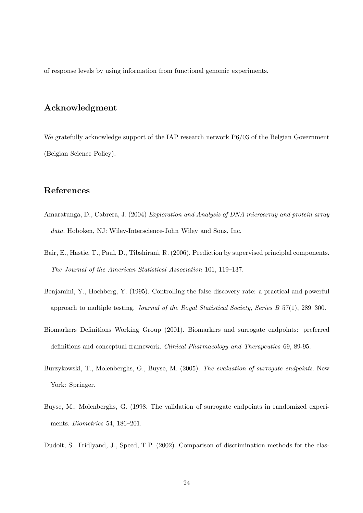of response levels by using information from functional genomic experiments.

# Acknowledgment

We gratefully acknowledge support of the IAP research network P6/03 of the Belgian Government (Belgian Science Policy).

# References

- Amaratunga, D., Cabrera, J. (2004) Exploration and Analysis of DNA microarray and protein array data. Hoboken, NJ: Wiley-Interscience-John Wiley and Sons, Inc.
- Bair, E., Hastie, T., Paul, D., Tibshirani, R. (2006). Prediction by supervised principlal components. The Journal of the American Statistical Association 101, 119–137.
- Benjamini, Y., Hochberg, Y. (1995). Controlling the false discovery rate: a practical and powerful approach to multiple testing. Journal of the Royal Statistical Society, Series B 57(1), 289–300.
- Biomarkers Definitions Working Group (2001). Biomarkers and surrogate endpoints: preferred definitions and conceptual framework. Clinical Pharmacology and Therapeutics 69, 89-95.
- Burzykowski, T., Molenberghs, G., Buyse, M. (2005). The evaluation of surrogate endpoints. New York: Springer.
- Buyse, M., Molenberghs, G. (1998. The validation of surrogate endpoints in randomized experiments. Biometrics 54, 186–201.
- Dudoit, S., Fridlyand, J., Speed, T.P. (2002). Comparison of discrimination methods for the clas-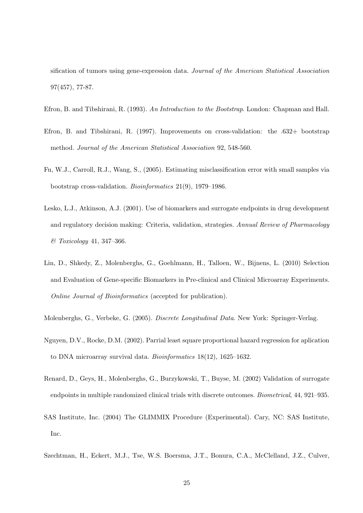sification of tumors using gene-expression data. Journal of the American Statistical Association 97(457), 77-87.

- Efron, B. and Tibshirani, R. (1993). An Introduction to the Bootstrap. London: Chapman and Hall.
- Efron, B. and Tibshirani, R. (1997). Improvements on cross-validation: the .632+ bootstrap method. Journal of the American Statistical Association 92, 548-560.
- Fu, W.J., Carroll, R.J., Wang, S., (2005). Estimating misclassification error with small samples via bootstrap cross-validation. Bioinformatics 21(9), 1979–1986.
- Lesko, L.J., Atkinson, A.J. (2001). Use of biomarkers and surrogate endpoints in drug development and regulatory decision making: Criteria, validation, strategies. Annual Review of Pharmacology & Toxicology 41, 347–366.
- Lin, D., Shkedy, Z., Molenberghs, G., Goehlmann, H., Talloen, W., Bijnens, L. (2010) Selection and Evaluation of Gene-specific Biomarkers in Pre-clinical and Clinical Microarray Experiments. Online Journal of Bioinformatics (accepted for publication).
- Molenberghs, G., Verbeke, G. (2005). Discrete Longitudinal Data. New York: Springer-Verlag.
- Nguyen, D.V., Rocke, D.M. (2002). Parrial least square proportional hazard regression for aplication to DNA microarray survival data. Bioinformatics 18(12), 1625–1632.
- Renard, D., Geys, H., Molenberghs, G., Burzykowski, T., Buyse, M. (2002) Validation of surrogate endpoints in multiple randomized clinical trials with discrete outcomes. Biometrical, 44, 921–935.
- SAS Institute, Inc. (2004) The GLIMMIX Procedure (Experimental). Cary, NC: SAS Institute, Inc.
- Szechtman, H., Eckert, M.J., Tse, W.S. Boersma, J.T., Bonura, C.A., McClelland, J.Z., Culver,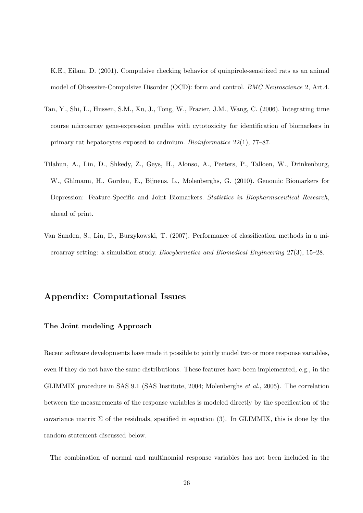K.E., Eilam, D. (2001). Compulsive checking behavior of quinpirole-sensitized rats as an animal model of Obsessive-Compulsive Disorder (OCD): form and control. BMC Neuroscience 2, Art.4.

- Tan, Y., Shi, L., Hussen, S.M., Xu, J., Tong, W., Frazier, J.M., Wang, C. (2006). Integrating time course microarray gene-expression profiles with cytotoxicity for identification of biomarkers in primary rat hepatocytes exposed to cadmium. Bioinformatics 22(1), 77–87.
- Tilahun, A., Lin, D., Shkedy, Z., Geys, H., Alonso, A., Peeters, P., Talloen, W., Drinkenburg, W., Ghlmann, H., Gorden, E., Bijnens, L., Molenberghs, G. (2010). Genomic Biomarkers for Depression: Feature-Specific and Joint Biomarkers. Statistics in Biopharmaceutical Research, ahead of print.
- Van Sanden, S., Lin, D., Burzykowski, T. (2007). Performance of classification methods in a microarray setting: a simulation study. Biocybernetics and Biomedical Engineering 27(3), 15–28.

# Appendix: Computational Issues

## The Joint modeling Approach

Recent software developments have made it possible to jointly model two or more response variables, even if they do not have the same distributions. These features have been implemented, e.g., in the GLIMMIX procedure in SAS 9.1 (SAS Institute, 2004; Molenberghs et al., 2005). The correlation between the measurements of the response variables is modeled directly by the specification of the covariance matrix  $\Sigma$  of the residuals, specified in equation (3). In GLIMMIX, this is done by the random statement discussed below.

The combination of normal and multinomial response variables has not been included in the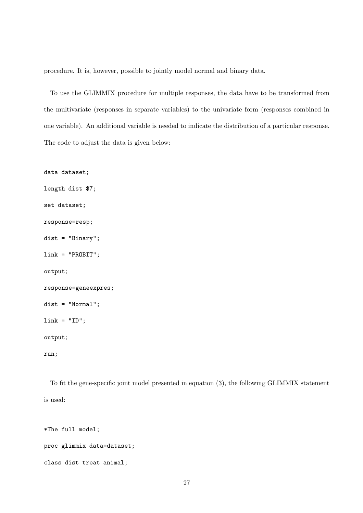procedure. It is, however, possible to jointly model normal and binary data.

To use the GLIMMIX procedure for multiple responses, the data have to be transformed from the multivariate (responses in separate variables) to the univariate form (responses combined in one variable). An additional variable is needed to indicate the distribution of a particular response. The code to adjust the data is given below:

```
data dataset;
length dist $7;
set dataset;
response=resp;
dist = "Binary";
link = "PROBIT";
output;
response=geneexpres;
dist = "Normal";
link = "ID";
output;
run;
```
To fit the gene-specific joint model presented in equation (3), the following GLIMMIX statement is used:

```
*The full model;
```

```
proc glimmix data=dataset;
```

```
class dist treat animal;
```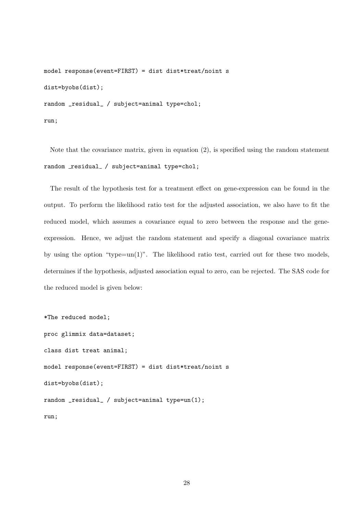```
model response(event=FIRST) = dist dist*treat/noint s
dist=byobs(dist);
random _residual_ / subject=animal type=chol;
run;
```
Note that the covariance matrix, given in equation (2), is specified using the random statement random residual / subject=animal type=chol;

The result of the hypothesis test for a treatment effect on gene-expression can be found in the output. To perform the likelihood ratio test for the adjusted association, we also have to fit the reduced model, which assumes a covariance equal to zero between the response and the geneexpression. Hence, we adjust the random statement and specify a diagonal covariance matrix by using the option "type=un(1)". The likelihood ratio test, carried out for these two models, determines if the hypothesis, adjusted association equal to zero, can be rejected. The SAS code for the reduced model is given below:

```
*The reduced model;
proc glimmix data=dataset;
class dist treat animal;
model response(event=FIRST) = dist dist*treat/noint s
dist=byobs(dist);
random _residual_ / subject=animal type=un(1);
run;
```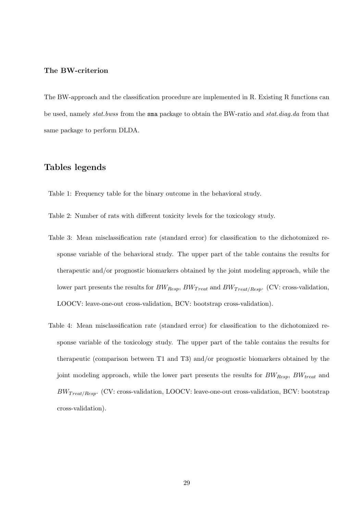# The BW-criterion

The BW-approach and the classification procedure are implemented in R. Existing R functions can be used, namely stat.bwss from the sma package to obtain the BW-ratio and stat.diag.da from that same package to perform DLDA.

# Tables legends

Table 1: Frequency table for the binary outcome in the behavioral study.

- Table 2: Number of rats with different toxicity levels for the toxicology study.
- Table 3: Mean misclassification rate (standard error) for classification to the dichotomized response variable of the behavioral study. The upper part of the table contains the results for therapeutic and/or prognostic biomarkers obtained by the joint modeling approach, while the lower part presents the results for  $BW_{Resp}$ ,  $BW_{Treat}$  and  $BW_{Treat/Resp}$ . (CV: cross-validation, LOOCV: leave-one-out cross-validation, BCV: bootstrap cross-validation).
- Table 4: Mean misclassification rate (standard error) for classification to the dichotomized response variable of the toxicology study. The upper part of the table contains the results for therapeutic (comparison between T1 and T3) and/or prognostic biomarkers obtained by the joint modeling approach, while the lower part presents the results for  $BW_{Resp}$ ,  $BW_{treat}$  and  $BW_{Treat/Resp}$ . (CV: cross-validation, LOOCV: leave-one-out cross-validation, BCV: bootstrap cross-validation).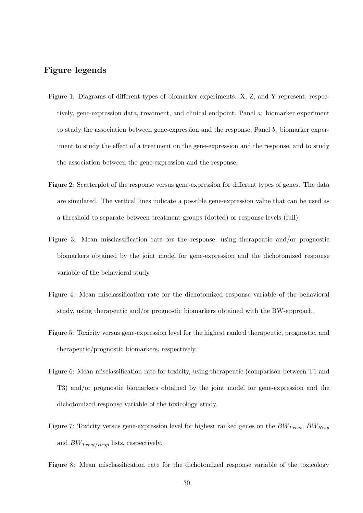# Figure legends

- Figure 1: Diagrams of different types of biomarker experiments. X, Z, and Y represent, respectively, gene-expression data, treatment, and clinical endpoint. Panel a: biomarker experiment to study the association between gene-expression and the response; Panel b: biomarker experiment to study the effect of a treatment on the gene-expression and the response, and to study the association between the gene-expression and the response.
- Figure 2: Scatterplot of the response versus gene-expression for different types of genes. The data are simulated. The vertical lines indicate a possible gene-expression value that can be used as a threshold to separate between treatment groups (dotted) or response levels (full).
- Figure 3: Mean misclassification rate for the response, using therapeutic and/or prognostic biomarkers obtained by the joint model for gene-expression and the dichotomized response variable of the behavioral study.
- Figure 4: Mean misclassification rate for the dichotomized response variable of the behavioral study, using therapeutic and/or prognostic biomarkers obtained with the BW-approach.
- Figure 5: Toxicity versus gene-expression level for the highest ranked therapeutic, prognostic, and therapeutic/prognostic biomarkers, respectively.
- Figure 6: Mean misclassification rate for toxicity, using therapeutic (comparison between T1 and T3) and/or prognostic biomarkers obtained by the joint model for gene-expression and the dichotomized response variable of the toxicology study.
- Figure 7: Toxicity versus gene-expression level for highest ranked genes on the  $BW_{Treat}$ ,  $BW_{Resp}$ and  $BW_{Treat/Resp}$  lists, respectively.

Figure 8: Mean misclassification rate for the dichotomized response variable of the toxicology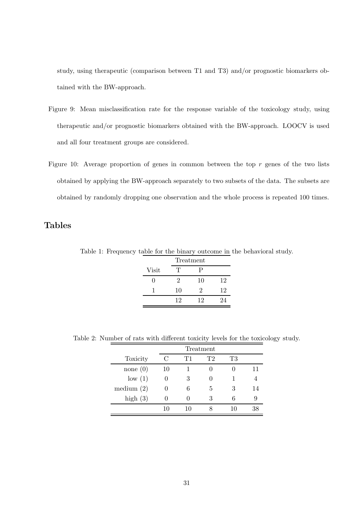study, using therapeutic (comparison between T1 and T3) and/or prognostic biomarkers obtained with the BW-approach.

- Figure 9: Mean misclassification rate for the response variable of the toxicology study, using therapeutic and/or prognostic biomarkers obtained with the BW-approach. LOOCV is used and all four treatment groups are considered.
- Figure 10: Average proportion of genes in common between the top r genes of the two lists obtained by applying the BW-approach separately to two subsets of the data. The subsets are obtained by randomly dropping one observation and the whole process is repeated 100 times.

# Tables

Table 1: Frequency table for the binary outcome in the behavioral study.

|       |    | Treatment |    |
|-------|----|-----------|----|
| Visit | T  | Р         |    |
|       | 2  | 10        | 12 |
|       | 10 | '2        | 12 |
|       | 12 | 12        | 94 |

Table 2: Number of rats with different toxicity levels for the toxicology study.

|              |    | Treatment |    |    |    |  |
|--------------|----|-----------|----|----|----|--|
| Toxicity     |    | T1        | T2 | Т3 |    |  |
| none $(0)$   | 10 |           |    |    | 11 |  |
| low(1)       |    | 3         |    |    |    |  |
| medium $(2)$ |    | 6         | 5  | 3  | 14 |  |
| high $(3)$   |    |           | 3  |    |    |  |
|              |    | 10        |    |    |    |  |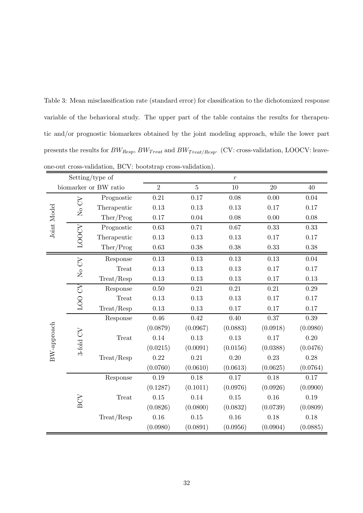Table 3: Mean misclassification rate (standard error) for classification to the dichotomized response variable of the behavioral study. The upper part of the table contains the results for therapeutic and/or prognostic biomarkers obtained by the joint modeling approach, while the lower part presents the results for  $BW_{Resp},\,BW_{Treat}$  and  $BW_{Treat/Resp}.$  (CV: cross-validation, LOOCV: leave-

|                       |             | Setting/type of |                |            | $\,r\,$    |          |          |
|-----------------------|-------------|-----------------|----------------|------------|------------|----------|----------|
| biomarker or BW ratio |             | $\overline{2}$  | $\overline{5}$ | 10         | 20         | 40       |          |
| Joint Model           |             | Prognostic      | $0.21\,$       | 0.17       | 0.08       | 0.00     | $0.04\,$ |
|                       | $\rm No$ CV | Therapeutic     | 0.13           | 0.13       | 0.13       | 0.17     | 0.17     |
|                       |             | Ther/Prog       | 0.17           | 0.04       | 0.08       | 0.00     | 0.08     |
|                       |             | Prognostic      | 0.63           | 0.71       | $0.67\,$   | 0.33     | 0.33     |
|                       | LOOCV       | Therapeutic     | 0.13           | 0.13       | 0.13       | 0.17     | 0.17     |
|                       |             | There/Prog      | $\,0.63\,$     | $0.38\,$   | $0.38\,$   | 0.33     | 0.38     |
|                       |             | Response        | 0.13           | 0.13       | 0.13       | 0.13     | 0.04     |
|                       | $\rm No$ CV | <b>Treat</b>    | 0.13           | 0.13       | 0.13       | 0.17     | 0.17     |
|                       |             | Treat/Resp      | 0.13           | 0.13       | 0.13       | 0.17     | 0.13     |
|                       |             | Response        | $0.50\,$       | $\rm 0.21$ | $\rm 0.21$ | 0.21     | $0.29\,$ |
|                       | LOO CV      | Treat           | 0.13           | 0.13       | 0.13       | 0.17     | 0.17     |
|                       |             | Treat/Resp      | 0.13           | 0.13       | 0.17       | 0.17     | 0.17     |
|                       |             | Response        | 0.46           | 0.42       | 0.40       | 0.37     | $0.39\,$ |
|                       |             |                 | (0.0879)       | (0.0967)   | (0.0883)   | (0.0918) | (0.0980) |
|                       |             | <b>Treat</b>    | 0.14           | 0.13       | 0.13       | 0.17     | 0.20     |
| BW-approach           | 3-fold CV   |                 | (0.0215)       | (0.0091)   | (0.0156)   | (0.0388) | (0.0476) |
|                       |             | Treat/Resp      | 0.22           | 0.21       | 0.20       | 0.23     | 0.28     |
|                       |             |                 | (0.0760)       | (0.0610)   | (0.0613)   | (0.0625) | (0.0764) |
|                       | BCV         | Response        | 0.19           | 0.18       | 0.17       | 0.18     | 0.17     |
|                       |             |                 | (0.1287)       | (0.1011)   | (0.0976)   | (0.0926) | (0.0900) |
|                       |             | Treat           | 0.15           | 0.14       | 0.15       | 0.16     | 0.19     |
|                       |             |                 | (0.0826)       | (0.0800)   | (0.0832)   | (0.0739) | (0.0809) |
|                       |             | Treat/Resp      | 0.16           | $0.15\,$   | 0.16       | 0.18     | 0.18     |
|                       |             |                 | (0.0980)       | (0.0891)   | (0.0956)   | (0.0904) | (0.0885) |

one-out cross-validation, BCV: bootstrap cross-validation).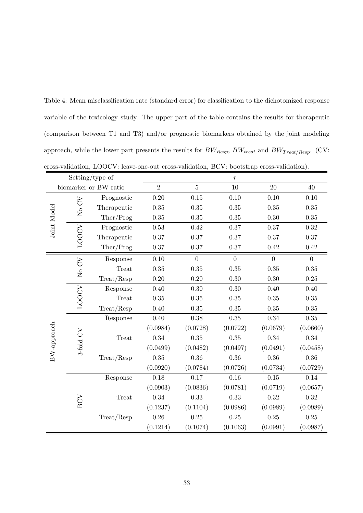Table 4: Mean misclassification rate (standard error) for classification to the dichotomized response variable of the toxicology study. The upper part of the table contains the results for therapeutic (comparison between T1 and T3) and/or prognostic biomarkers obtained by the joint modeling approach, while the lower part presents the results for  $BW_{Resp},\,BW_{treat}$  and  $BW_{Treat/Resp}.$  (CV: cross-validation, LOOCV: leave-one-out cross-validation, BCV: bootstrap cross-validation).

| Setting/type of |                   |                       |                | $\boldsymbol{r}$ |                |                  |                  |
|-----------------|-------------------|-----------------------|----------------|------------------|----------------|------------------|------------------|
|                 |                   | biomarker or BW ratio | $\overline{2}$ | $\overline{5}$   | 10             | 20               | 40               |
| Joint Model     |                   | Prognostic            | 0.20           | $0.15\,$         | 0.10           | 0.10             | 0.10             |
|                 | $\rm No$ CV       | Therapeutic           | 0.35           | 0.35             | 0.35           | 0.35             | 0.35             |
|                 |                   | $There$ $Preg$        | $0.35\,$       | 0.35             | 0.35           | 0.30             | $0.35\,$         |
|                 |                   | Prognostic            | $0.53\,$       | 0.42             | $0.37\,$       | 0.37             | $0.32\,$         |
|                 | LOOCV             | Therapeutic           | 0.37           | 0.37             | 0.37           | 0.37             | 0.37             |
|                 |                   | Ther/Prog             | $0.37\,$       | 0.37             | 0.37           | 0.42             | 0.42             |
|                 |                   | Response              | 0.10           | $\overline{0}$   | $\overline{0}$ | $\boldsymbol{0}$ | $\boldsymbol{0}$ |
| BW-approach     | $\rm No$ $\rm CV$ | <b>Treat</b>          | 0.35           | 0.35             | 0.35           | 0.35             | 0.35             |
|                 |                   | Treat/Resp            | $0.20\,$       | $0.20\,$         | 0.30           | 0.30             | $0.25\,$         |
|                 |                   | Response              | 0.40           | 0.30             | $0.30\,$       | 0.40             | 0.40             |
|                 | <b>LOOCV</b>      | Treat                 | 0.35           | 0.35             | 0.35           | 0.35             | $0.35\,$         |
|                 |                   | Treat/Resp            | 0.40           | 0.35             | 0.35           | 0.35             | 0.35             |
|                 |                   | Response              | 0.40           | 0.38             | $0.35\,$       | 0.34             | 0.35             |
|                 |                   |                       | (0.0984)       | (0.0728)         | (0.0722)       | (0.0679)         | (0.0660)         |
|                 | 3-fold CV         | Treat                 | 0.34           | 0.35             | 0.35           | 0.34             | 0.34             |
|                 |                   |                       | (0.0499)       | (0.0482)         | (0.0497)       | (0.0491)         | (0.0458)         |
|                 |                   | Treat/Resp            | 0.35           | 0.36             | 0.36           | 0.36             | 0.36             |
|                 |                   |                       | (0.0920)       | (0.0784)         | (0.0726)       | (0.0734)         | (0.0729)         |
|                 | BCV               | Response              | 0.18           | 0.17             | 0.16           | 0.15             | 0.14             |
|                 |                   |                       | (0.0903)       | (0.0836)         | (0.0781)       | (0.0719)         | (0.0657)         |
|                 |                   | Treat                 | $0.34\,$       | 0.33             | 0.33           | 0.32             | 0.32             |
|                 |                   |                       | (0.1237)       | (0.1104)         | (0.0986)       | (0.0989)         | (0.0989)         |
|                 |                   | Treat/Resp            | 0.26           | 0.25             | 0.25           | 0.25             | 0.25             |
|                 |                   |                       | (0.1214)       | (0.1074)         | (0.1063)       | (0.0991)         | (0.0987)         |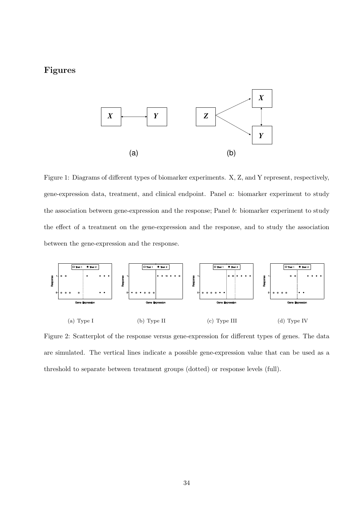# Figures



Figure 1: Diagrams of different types of biomarker experiments. X, Z, and Y represent, respectively, gene-expression data, treatment, and clinical endpoint. Panel a: biomarker experiment to study the association between gene-expression and the response; Panel b: biomarker experiment to study the effect of a treatment on the gene-expression and the response, and to study the association between the gene-expression and the response.



Figure 2: Scatterplot of the response versus gene-expression for different types of genes. The data are simulated. The vertical lines indicate a possible gene-expression value that can be used as a threshold to separate between treatment groups (dotted) or response levels (full).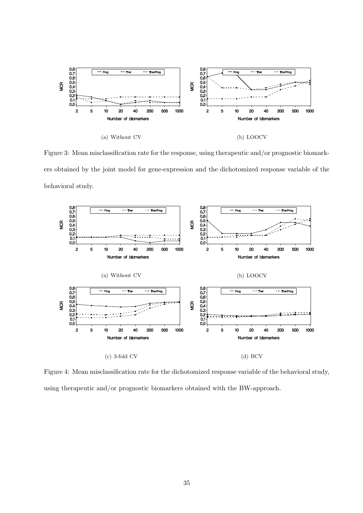

Figure 3: Mean misclassification rate for the response, using therapeutic and/or prognostic biomarkers obtained by the joint model for gene-expression and the dichotomized response variable of the behavioral study.



Figure 4: Mean misclassification rate for the dichotomized response variable of the behavioral study, using therapeutic and/or prognostic biomarkers obtained with the BW-approach.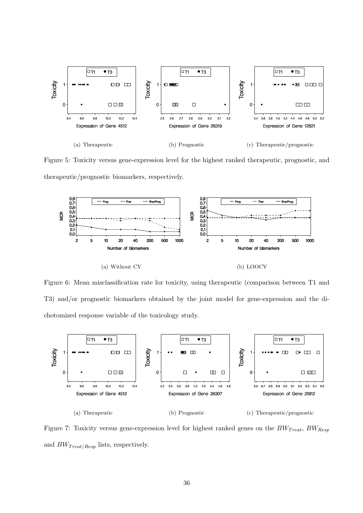

Figure 5: Toxicity versus gene-expression level for the highest ranked therapeutic, prognostic, and therapeutic/prognostic biomarkers, respectively.



Figure 6: Mean misclassification rate for toxicity, using therapeutic (comparison between T1 and T3) and/or prognostic biomarkers obtained by the joint model for gene-expression and the dichotomized response variable of the toxicology study.



Figure 7: Toxicity versus gene-expression level for highest ranked genes on the  $BW_{Treat}$ ,  $BW_{Resp}$ and  $BW_{Treat/Resp}$  lists, respectively.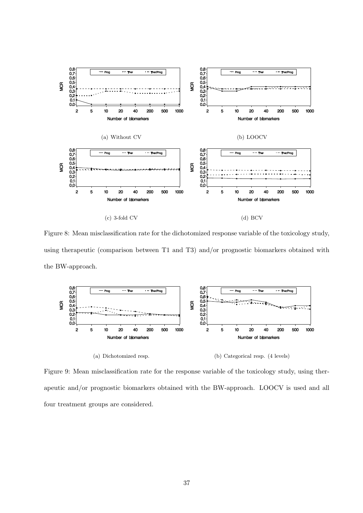

Figure 8: Mean misclassification rate for the dichotomized response variable of the toxicology study, using therapeutic (comparison between T1 and T3) and/or prognostic biomarkers obtained with the BW-approach.



Figure 9: Mean misclassification rate for the response variable of the toxicology study, using therapeutic and/or prognostic biomarkers obtained with the BW-approach. LOOCV is used and all four treatment groups are considered.